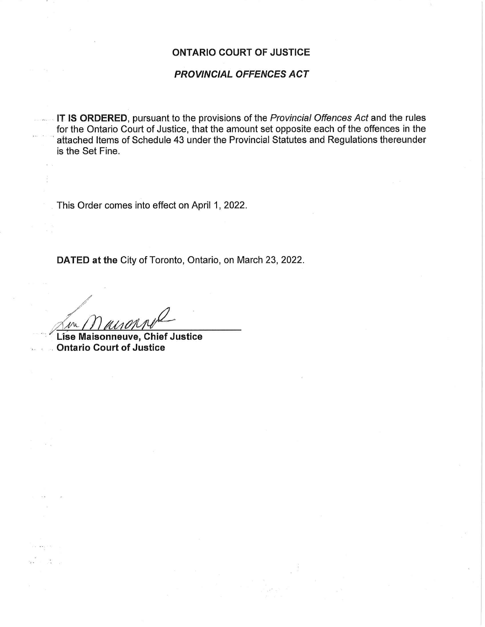### ONTARIO COURT OF JUSTICE

### PROVINCIAL OFFENCES ACT

**IT IS ORDERED**, pursuant to the provisions of the *Provincial Offences Act* and the rules for the Ontario Court of Justice, that the amount set opposite each of the offences in the attached Items of Schedule 43 under the Provincial Statutes and Regulations thereunder is the Set Fine.

This Order comes into effect on April 1, 2022.

DATED at the City of Toronto, Ontario, on March 23, 2022.

 $\mathcal{M}_{\lambda}$ 

 $201 - 444 + 14$ 

Lise Maisonneuve, Chief Justice Ontario Court of Justice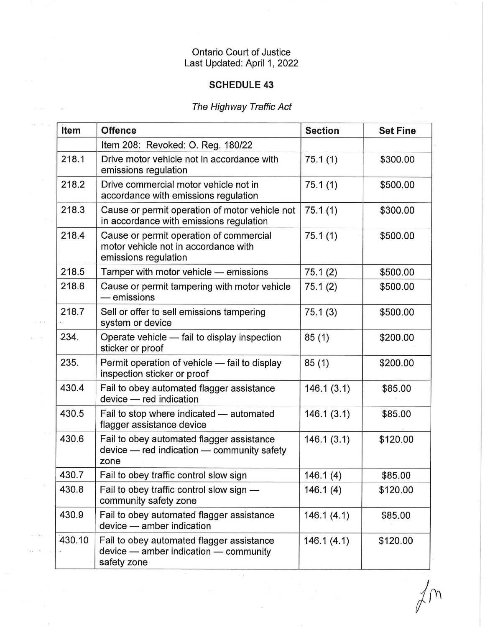## Ontario Court of Justice Last Updated: April 1, 2022

### SCHEDULE 43

# The Highway Traffic Act

 $\alpha$ 

 $\overline{w} = x - \overline{y}$ 

o wa

 $\alpha\in\mathbb{R}^2$  $\mathcal{L}(\mathcal{L}) = \mathcal{L}$  $\sigma_{\rm{C}}$ 

| Item   | <b>Offence</b>                                                                                          | <b>Section</b> | <b>Set Fine</b> |
|--------|---------------------------------------------------------------------------------------------------------|----------------|-----------------|
|        | Item 208: Revoked: O. Reg. 180/22                                                                       |                |                 |
| 218.1  | Drive motor vehicle not in accordance with<br>emissions regulation                                      | 75.1(1)        | \$300.00        |
| 218.2  | Drive commercial motor vehicle not in<br>accordance with emissions regulation                           | 75.1(1)        | \$500.00        |
| 218.3  | Cause or permit operation of motor vehicle not<br>in accordance with emissions regulation               | 75.1(1)        | \$300.00        |
| 218.4  | Cause or permit operation of commercial<br>motor vehicle not in accordance with<br>emissions regulation | 75.1(1)        | \$500.00        |
| 218.5  | Tamper with motor vehicle - emissions                                                                   | 75.1(2)        | \$500.00        |
| 218.6  | Cause or permit tampering with motor vehicle<br>— emissions                                             | 75.1(2)        | \$500.00        |
| 218.7  | Sell or offer to sell emissions tampering<br>system or device                                           | 75.1(3)        | \$500.00        |
| 234.   | Operate vehicle - fail to display inspection<br>sticker or proof                                        | 85(1)          | \$200.00        |
| 235.   | Permit operation of vehicle - fail to display<br>inspection sticker or proof                            | 85(1)          | \$200.00        |
| 430.4  | Fail to obey automated flagger assistance<br>device - red indication                                    | 146.1(3.1)     | \$85.00         |
| 430.5  | Fail to stop where indicated - automated<br>flagger assistance device                                   | 146.1(3.1)     | \$85.00         |
| 430.6  | Fail to obey automated flagger assistance<br>device - red indication - community safety<br>zone         | 146.1(3.1)     | \$120.00        |
| 430.7  | Fail to obey traffic control slow sign                                                                  | 146.1(4)       | \$85.00         |
| 430.8  | Fail to obey traffic control slow sign -<br>community safety zone                                       | 146.1(4)       | \$120.00        |
| 430.9  | Fail to obey automated flagger assistance<br>device - amber indication                                  | 146.1(4.1)     | \$85.00         |
| 430.10 | Fail to obey automated flagger assistance<br>device - amber indication - community<br>safety zone       | 146.1(4.1)     | \$120.00        |

 $\alpha$  as

 $\langle \, \rangle$